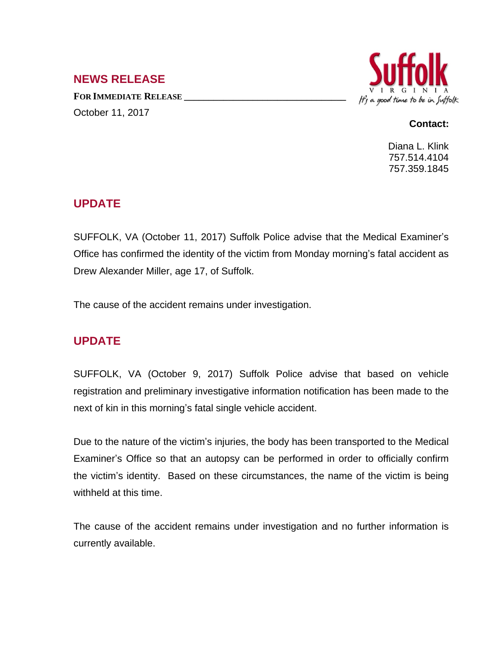#### **NEWS RELEASE**

**FOR IMMEDIATE RELEASE \_\_\_\_\_\_\_\_\_\_\_\_\_\_\_\_\_\_\_\_\_\_\_\_\_\_\_\_\_\_\_\_\_** October 11, 2017



#### **Contact:**

Diana L. Klink 757.514.4104 757.359.1845

## **UPDATE**

SUFFOLK, VA (October 11, 2017) Suffolk Police advise that the Medical Examiner's Office has confirmed the identity of the victim from Monday morning's fatal accident as Drew Alexander Miller, age 17, of Suffolk.

The cause of the accident remains under investigation.

## **UPDATE**

SUFFOLK, VA (October 9, 2017) Suffolk Police advise that based on vehicle registration and preliminary investigative information notification has been made to the next of kin in this morning's fatal single vehicle accident.

Due to the nature of the victim's injuries, the body has been transported to the Medical Examiner's Office so that an autopsy can be performed in order to officially confirm the victim's identity. Based on these circumstances, the name of the victim is being withheld at this time.

The cause of the accident remains under investigation and no further information is currently available.